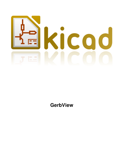

# **GerbView**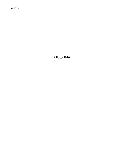**1 lipca 2016**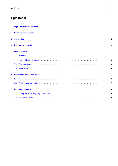## **Spis treści**

| $\mathbf 1$  | <b>Wprowadzenie do GerbView</b>                                                                                                                                                                                                         | 2               |
|--------------|-----------------------------------------------------------------------------------------------------------------------------------------------------------------------------------------------------------------------------------------|-----------------|
| $\mathbf{2}$ | Główne okno programu                                                                                                                                                                                                                    | $\mathbf{2}$    |
| 3            | <b>Top toolbar</b>                                                                                                                                                                                                                      | 3               |
|              | Lewy pasek narzędzi                                                                                                                                                                                                                     | 4               |
| 5            | Polecenia menu                                                                                                                                                                                                                          | 5               |
|              | 5.1                                                                                                                                                                                                                                     | -5              |
|              | Eksport do Pebnew response to receive the contract of the contract of the contract of the contract of the contract of the contract of the contract of the contract of the contract of the contract of the contract of the cont<br>5.1.1 | -5              |
|              | 5.2                                                                                                                                                                                                                                     | -6              |
|              | 5.3                                                                                                                                                                                                                                     |                 |
| 6            | Panel zarządzania warstwami                                                                                                                                                                                                             | 7               |
|              | 6.1                                                                                                                                                                                                                                     |                 |
|              | 6.2                                                                                                                                                                                                                                     |                 |
| 7            | <b>Drukowanie warstw</b>                                                                                                                                                                                                                | 10              |
|              | 7.1                                                                                                                                                                                                                                     | 10              |
|              | 7.2                                                                                                                                                                                                                                     | $\overline{10}$ |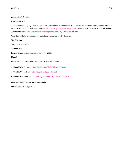#### *Podręcznik użytkownika*

#### **Prawa autorskie**

This document is Copyright © 2010-2015 by it's contributors as listed below. You may distribute it and/or modify it under the terms of either the GNU General Public License (http://www.gnu.org/licenses/gpl.html), version 3 or later, or the Creative Commons Attribution License (http://creativecommons.org/licenses/by/3.0/), version 3.0 or later.

Wszystkie znaki towarowe użyte w tym dokumencie należą do ich właścicieli.

#### **Współtwórcy**

Zespół programu KiCad.

#### **Tłumaczenie**

Kerusey Karyu <keruseykaryu@o2.pl>, 2014-2015.

#### **Kontakt**

Please direct any [bug reports, suggesti](mailto:keruseykaryu@o2.pl)ons or new versions to here:

- About KiCad document: https://github.com/KiCad/kicad-doc/issues
- About KiCad software: https://bugs.launchpad.net/kicad
- About KiCad software i18n: [https://github.com/KiCad/kicad-i18n/is](https://github.com/KiCad/kicad-doc/issues)sues

#### **Data publikacji i wersja [oprogramowania](https://bugs.launchpad.net/kicad)**

Opublikowane 4 Lutego 2015.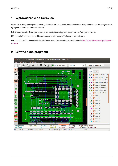### **1 Wprowadzenie do GerbView**

GerbView to przeglądarka plików Gerber (w formacie RS274X), która umożliwia również przeglądanie plików wierceń generowanych przez Pcbnew (w formacie Excellon).

Potrafi ona wyświetlić do 32 plików (odrębnych warstw) pochodzących z plików Gerber i/lub plików wierceń.

Pliki mogą być wyświetlane w trybie transparentnym jak i trybie nakładkowym, w formie stosu.

For more information about the Gerber file format please have a read at the specification in The Gerber File Format Specification -Ucamco.

## **2 [G](http://www.ucamco.com/files/downloads/file/81/the_gerber_file_format_specification.pdf)łówne okno programu**

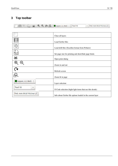| $\boxed{\frac{1}{2}\left[\frac{1}{2}\right]\left[\frac{1}{2}\right]\left[\frac{1}{2}\right]\left[\frac{1}{2}\right]\left[\frac{1}{2}\right]\left[\frac{1}{2}\left[\frac{1}{2}\right]\left[\frac{1}{2}\left[\frac{1}{2}\right]\left[\frac{1}{2}\right]\left[\frac{1}{2}\left[\frac{1}{2}\right]\left[\frac{1}{2}\right]\left[\frac{1}{2}\right]\left[\frac{1}{2}\left[\frac{1}{2}\right]\left[\frac{1}{2}\right]\left[\frac{1}{2}\right]\left[\frac{1}{2}\left[\frac{1}{2}\right]\left[\frac{1}{2}\right]\left[\frac{1}{2}\right]\left$ |  | $\overline{\mathsf{m}}$ fmt: mm X4.6 Y4.6 no LZ |
|----------------------------------------------------------------------------------------------------------------------------------------------------------------------------------------------------------------------------------------------------------------------------------------------------------------------------------------------------------------------------------------------------------------------------------------------------------------------------------------------------------------------------------------|--|-------------------------------------------------|

|                                    | Clear all layers                                           |
|------------------------------------|------------------------------------------------------------|
|                                    | Load Gerber files                                          |
|                                    | Load drill files (Excellon format from Pcbnew)             |
|                                    | Set page size for printing and show/hide page limits       |
|                                    | Open print dialog                                          |
|                                    | Zoom in and out                                            |
|                                    | Refresh screen                                             |
|                                    | Zoom fit in page                                           |
| (Copper, L2, Bot) ÷                | Layer selection                                            |
| Tool 10<br>$\overline{\mathbf{v}}$ | D Code selection (hight light items that use this dcode)   |
| fmt: mm X4.6 Y4.6 no LZ            | Info about Gerber file options loaded in the current layer |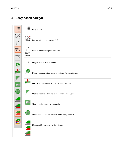## <span id="page-6-0"></span>**4 Lewy pasek narzędzi**

|                                    |           | Grid on / off                                                |
|------------------------------------|-----------|--------------------------------------------------------------|
| $\overline{\mathsf{In}}$           |           | Display polar coordinates on / off                           |
| mm                                 | In.<br>mn | Units selection to display coordinates                       |
| $\bullet$                          |           | On grid cursor shape selection                               |
|                                    | ್ರ        | Display mode selection (solid or outlines) for flashed items |
|                                    |           | Display mode selection (solid or outlines) for lines         |
|                                    |           | Display mode selection (solid or outlines) for polygons      |
| $\blacktriangle$<br>$\blacksquare$ |           | Show negative objects in ghost color                         |
|                                    |           | Show / hide D Codes values (for items using a dcode)         |
|                                    |           | Mode used by Gerbview to show layers.                        |
|                                    |           |                                                              |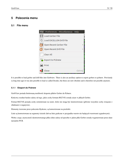## <span id="page-7-0"></span>**5 Polecenia menu**

#### <span id="page-7-1"></span>**5.1 File menu**



It is possible to load gerber and drill files into Gerbview. There is also an auxiliary option to export gerbers to pcbnew. Previously (a long time ago) it was also possible to load so called Dcodes, but those are now obsolete and is therefore not possible anymore.

#### <span id="page-7-2"></span>**5.1.1 Eksport do Pcbnew**

GerbView posiada limitowaną możliwość eksportu plików Gerber do Pcbnew.

Końcowy rezultat bardzo zależy od tego, jakie cechy formatu RS274X zostały użyte w plikach Gerber.

Format RS274X posiada cechy zorientowane na raster, które nie mogą być skonwertowane (głównie wszystkie cechy związane z obiektami w negatywie).

Elementy tworzone przez polecenia błyskowe, są konwertowane na przelotki.

Linie są konwertowane na segmenty ścieżek (lub na linie graficzne w przypadku warstw nie będących warstwami sygnałowymi).

Wobec czego, użyteczność skonwertowanego pliku silnie zależy od sposobu w jakim pliki Gerber zostały wygenerowane przez dane narzędzie PCB.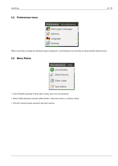#### <span id="page-8-0"></span>**5.2 Preferences menu**



Menu to pozwala na dostęp do niektórych opcji związanych z wyświetlaniem oraz pozwala na edycję skrótów klawiszowych.

#### <span id="page-8-1"></span>**5.3 Menu Różne**



- Lista D-Kodów pokazuje D-kody jakie zostały użyte oraz ich parametry.
- Pokaż źródło pokazuje zawartość pliku Gerber z aktywnej warstwy w edytorze tekstu.
- Wyczyść warstwę kasuje zawartość aktywnej warstwy.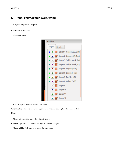## <span id="page-9-0"></span>**6 Panel zarządzania warstwami**

The layer manager has 2 purposes:

- Select the active layer
- Show/hide layers



The active layer is drawn after the other layers.

When loading a new file, the active layer is used (the new data replace the previous data) Note:

- Mouse left click on a line: select the active layer
- Mouse right click on the layer manager: show/hide all layers
- Mouse middle click on a icon: select the layer color.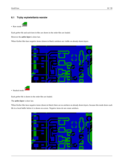#### <span id="page-10-0"></span>**6.1 Tryby wyświetlania warstw**



Each gerber file and each item in files are drawn in the order files are loaded.

However the **active layer** is draw last.

When Gerber files have negative items (drawn in black) artefacts are visible on already drawn layers

• Stacked mode

Each gerber file is drawn in the order files are loaded.

The **active layer** is draw last.

When Gerber files have negative items (drawn in black) there are no artefacts on already drawn layers, because this mode draws each file in a local buffer before it is shown on screen. Negative items do not create artefacts.

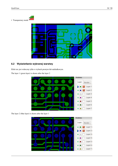• Transparency mode



#### <span id="page-11-0"></span>**6.2 Wyświetlanie wybranej warstwy**

Efekt ten jest widoczny tylko w trybach prostym lub nakładkowym.

The layer 1 (green layer) is drawn after the layer 2



The layer 2 (blue layer) is drawn after the layer 1